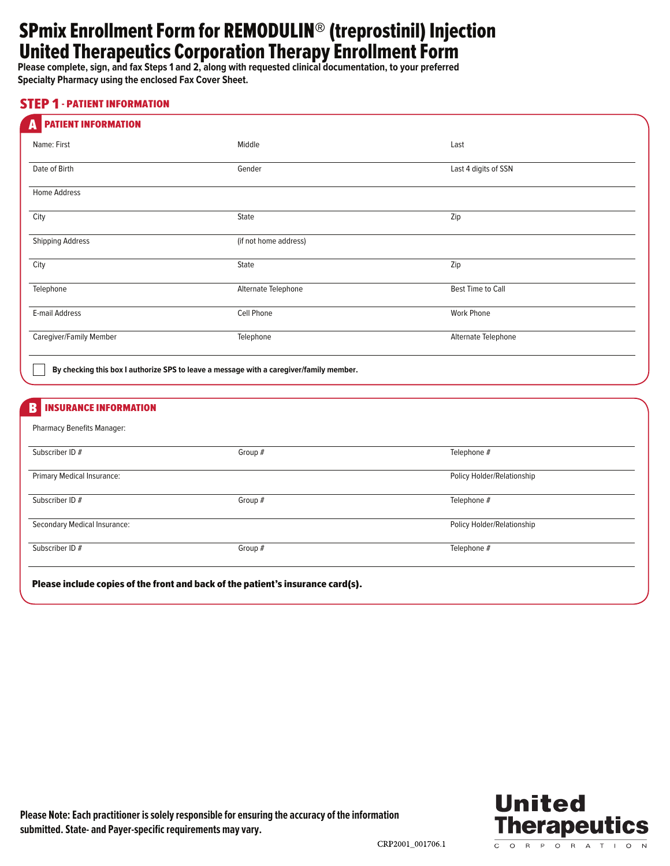# SPmix Enrollment Form for REMODULIN® (treprostinil) Injection United Therapeutics Corporation Therapy Enrollment Form

**Please complete, sign, and fax Steps 1 and 2, along with requested clinical documentation, to your preferred Specialty Pharmacy using the enclosed Fax Cover Sheet.** 

#### STEP 1 - PATIENT INFORMATION

| <b>PATIENT INFORMATION</b><br>A              |                                                                                         |                                |  |
|----------------------------------------------|-----------------------------------------------------------------------------------------|--------------------------------|--|
| Name: First                                  | Middle                                                                                  | Last                           |  |
| Date of Birth                                | Gender                                                                                  | Last 4 digits of SSN           |  |
| Home Address                                 |                                                                                         |                                |  |
| City                                         | State                                                                                   | Zip<br>$\overline{\mathbf{v}}$ |  |
| <b>Shipping Address</b>                      | (if not home address)                                                                   |                                |  |
| City                                         | State                                                                                   | Zip<br>$\blacktriangleright$   |  |
| Telephone                                    | Alternate Telephone                                                                     | <b>Best Time to Call</b>       |  |
| E-mail Address                               | Cell Phone                                                                              | <b>Work Phone</b>              |  |
| Caregiver/Family Member                      | Telephone                                                                               | Alternate Telephone            |  |
|                                              | By checking this box I authorize SPS to leave a message with a caregiver/family member. |                                |  |
| <b>INSURANCE INFORMATION</b><br>$\mathbf{B}$ |                                                                                         |                                |  |
| Pharmacy Benefits Manager:                   |                                                                                         |                                |  |
| Subscriber ID #                              | Group #                                                                                 | Telephone #                    |  |
| Primary Medical Insurance:                   |                                                                                         | Policy Holder/Relationship     |  |
| Subscriber ID #                              | Group #                                                                                 | Telephone #                    |  |
| Secondary Medical Insurance:                 |                                                                                         | Policy Holder/Relationship     |  |
| Subscriber ID #                              | Group #                                                                                 | Telephone #                    |  |
|                                              | Please include copies of the front and back of the patient's insurance card(s).         |                                |  |

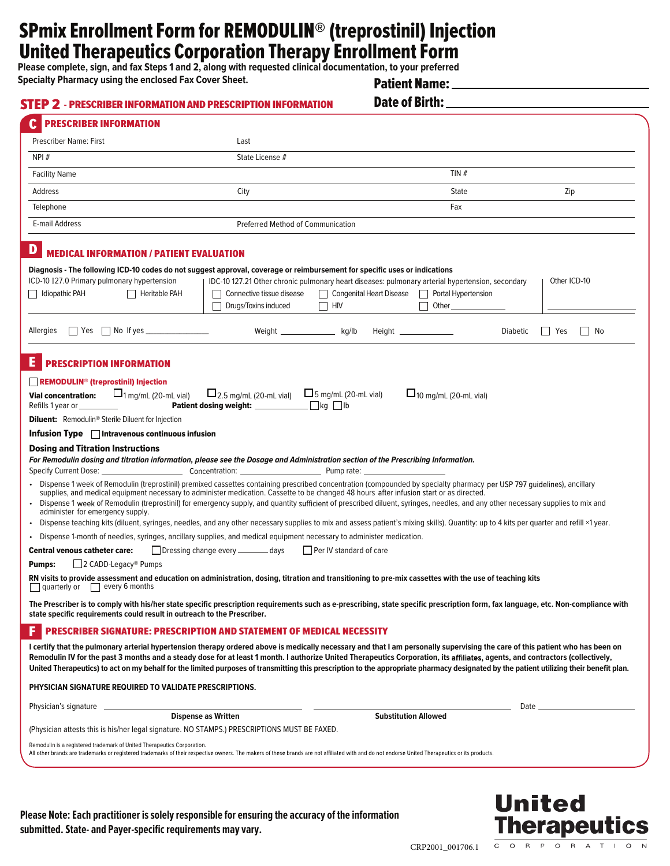## SPmix Enrollment Form for REMODULIN® (treprostinil) Injection United Therapeutics Corporation Therapy Enrollment Form

**Please complete, sign, and fax Steps 1 and 2, along with requested clinical documentation, to your preferred**

**Specialty Pharmacy using the enclosed Fax Cover Sheet.** 

Patient Name:

| <b>PRESCRIBER INFORMATION</b>                                                                                                                                                                                                                                                                                                                                                                                                                                                                                                                                                                                                                                                                                                                                                                                                                                                                                                                                                                                                                                                |                                                   |                             |                                                                                                                                                                    |                       |
|------------------------------------------------------------------------------------------------------------------------------------------------------------------------------------------------------------------------------------------------------------------------------------------------------------------------------------------------------------------------------------------------------------------------------------------------------------------------------------------------------------------------------------------------------------------------------------------------------------------------------------------------------------------------------------------------------------------------------------------------------------------------------------------------------------------------------------------------------------------------------------------------------------------------------------------------------------------------------------------------------------------------------------------------------------------------------|---------------------------------------------------|-----------------------------|--------------------------------------------------------------------------------------------------------------------------------------------------------------------|-----------------------|
| <b>Prescriber Name: First</b>                                                                                                                                                                                                                                                                                                                                                                                                                                                                                                                                                                                                                                                                                                                                                                                                                                                                                                                                                                                                                                                | Last                                              |                             |                                                                                                                                                                    |                       |
| NPI#                                                                                                                                                                                                                                                                                                                                                                                                                                                                                                                                                                                                                                                                                                                                                                                                                                                                                                                                                                                                                                                                         | State License #                                   |                             |                                                                                                                                                                    |                       |
| <b>Facility Name</b>                                                                                                                                                                                                                                                                                                                                                                                                                                                                                                                                                                                                                                                                                                                                                                                                                                                                                                                                                                                                                                                         |                                                   |                             | TIN#                                                                                                                                                               |                       |
| Address                                                                                                                                                                                                                                                                                                                                                                                                                                                                                                                                                                                                                                                                                                                                                                                                                                                                                                                                                                                                                                                                      | City                                              |                             | State                                                                                                                                                              | $\Box$ <sup>Zip</sup> |
| Telephone                                                                                                                                                                                                                                                                                                                                                                                                                                                                                                                                                                                                                                                                                                                                                                                                                                                                                                                                                                                                                                                                    |                                                   |                             | Fax                                                                                                                                                                |                       |
| E-mail Address                                                                                                                                                                                                                                                                                                                                                                                                                                                                                                                                                                                                                                                                                                                                                                                                                                                                                                                                                                                                                                                               | <b>Preferred Method of Communication</b>          |                             |                                                                                                                                                                    |                       |
| <b>MEDICAL INFORMATION / PATIENT EVALUATION</b>                                                                                                                                                                                                                                                                                                                                                                                                                                                                                                                                                                                                                                                                                                                                                                                                                                                                                                                                                                                                                              |                                                   |                             |                                                                                                                                                                    |                       |
| Diagnosis - The following ICD-10 codes do not suggest approval, coverage or reimbursement for specific uses or indications                                                                                                                                                                                                                                                                                                                                                                                                                                                                                                                                                                                                                                                                                                                                                                                                                                                                                                                                                   |                                                   |                             |                                                                                                                                                                    |                       |
| ICD-10 I27.0 Primary pulmonary hypertension<br>diopathic PAH<br>Heritable PAH                                                                                                                                                                                                                                                                                                                                                                                                                                                                                                                                                                                                                                                                                                                                                                                                                                                                                                                                                                                                | Connective tissue disease<br>Drugs/Toxins induced | $\Box$ hiv                  | IDC-10 127.21 Other chronic pulmonary heart diseases: pulmonary arterial hypertension, secondary<br>Congenital Heart Disease   Portal Hypertension<br>Other $\_\_$ | Other ICD-10          |
| $\Box$ Yes $\Box$ No If yes<br>Allergies                                                                                                                                                                                                                                                                                                                                                                                                                                                                                                                                                                                                                                                                                                                                                                                                                                                                                                                                                                                                                                     | Weight ______________                             | kg/lb                       | $Height \_$<br><b>Diabetic</b>                                                                                                                                     | □ Yes<br>$\Box$ No    |
|                                                                                                                                                                                                                                                                                                                                                                                                                                                                                                                                                                                                                                                                                                                                                                                                                                                                                                                                                                                                                                                                              |                                                   |                             |                                                                                                                                                                    |                       |
| Е<br><b>PRESCRIPTION INFORMATION</b>                                                                                                                                                                                                                                                                                                                                                                                                                                                                                                                                                                                                                                                                                                                                                                                                                                                                                                                                                                                                                                         |                                                   |                             |                                                                                                                                                                    |                       |
| REMODULIN <sup>®</sup> (treprostinil) Injection                                                                                                                                                                                                                                                                                                                                                                                                                                                                                                                                                                                                                                                                                                                                                                                                                                                                                                                                                                                                                              |                                                   |                             |                                                                                                                                                                    |                       |
| $\Box$ <sub>1 mg/mL</sub> (20-mL vial)<br><b>Vial concentration:</b>                                                                                                                                                                                                                                                                                                                                                                                                                                                                                                                                                                                                                                                                                                                                                                                                                                                                                                                                                                                                         | $L_{2.5 \text{ mg/mL (20-mL vial)}}$              | $\Box$ 5 mg/mL (20-mL vial) | $\Box$ <sub>10 mg/mL (20-mL vial)</sub>                                                                                                                            |                       |
|                                                                                                                                                                                                                                                                                                                                                                                                                                                                                                                                                                                                                                                                                                                                                                                                                                                                                                                                                                                                                                                                              | Patient dosing weight: ____________               | $\Box$ ka $\Box$ lb         |                                                                                                                                                                    |                       |
|                                                                                                                                                                                                                                                                                                                                                                                                                                                                                                                                                                                                                                                                                                                                                                                                                                                                                                                                                                                                                                                                              |                                                   |                             |                                                                                                                                                                    |                       |
|                                                                                                                                                                                                                                                                                                                                                                                                                                                                                                                                                                                                                                                                                                                                                                                                                                                                                                                                                                                                                                                                              |                                                   |                             |                                                                                                                                                                    |                       |
|                                                                                                                                                                                                                                                                                                                                                                                                                                                                                                                                                                                                                                                                                                                                                                                                                                                                                                                                                                                                                                                                              |                                                   |                             |                                                                                                                                                                    |                       |
| Refills 1 year or _________<br><b>Diluent:</b> Remodulin <sup>®</sup> Sterile Diluent for Injection<br>Infusion Type $\Box$ Intravenous continuous infusion<br><b>Dosing and Titration Instructions</b><br>For Remodulin dosing and titration information, please see the Dosage and Administration section of the Prescribing Information.                                                                                                                                                                                                                                                                                                                                                                                                                                                                                                                                                                                                                                                                                                                                  |                                                   |                             |                                                                                                                                                                    |                       |
| Specify Current Dose: Concentration: Concentration: Pump rate:                                                                                                                                                                                                                                                                                                                                                                                                                                                                                                                                                                                                                                                                                                                                                                                                                                                                                                                                                                                                               |                                                   |                             |                                                                                                                                                                    |                       |
| · Dispense 1 week of Remodulin (treprostinil) premixed cassettes containing prescribed concentration (compounded by specialty pharmacy per USP 797 guidelines), ancillary<br>supplies, and medical equipment necessary to administer medication. Cassette to be changed 48 hours after infusion start or as directed.                                                                                                                                                                                                                                                                                                                                                                                                                                                                                                                                                                                                                                                                                                                                                        |                                                   |                             |                                                                                                                                                                    |                       |
| administer for emergency supply.                                                                                                                                                                                                                                                                                                                                                                                                                                                                                                                                                                                                                                                                                                                                                                                                                                                                                                                                                                                                                                             |                                                   |                             |                                                                                                                                                                    |                       |
|                                                                                                                                                                                                                                                                                                                                                                                                                                                                                                                                                                                                                                                                                                                                                                                                                                                                                                                                                                                                                                                                              |                                                   |                             |                                                                                                                                                                    |                       |
|                                                                                                                                                                                                                                                                                                                                                                                                                                                                                                                                                                                                                                                                                                                                                                                                                                                                                                                                                                                                                                                                              |                                                   |                             |                                                                                                                                                                    |                       |
|                                                                                                                                                                                                                                                                                                                                                                                                                                                                                                                                                                                                                                                                                                                                                                                                                                                                                                                                                                                                                                                                              | □ Dressing change every - days                    | Per IV standard of care     |                                                                                                                                                                    |                       |
| □ 2 CADD-Legacy <sup>®</sup> Pumps                                                                                                                                                                                                                                                                                                                                                                                                                                                                                                                                                                                                                                                                                                                                                                                                                                                                                                                                                                                                                                           |                                                   |                             |                                                                                                                                                                    |                       |
| quarterly or $\Box$ every 6 months                                                                                                                                                                                                                                                                                                                                                                                                                                                                                                                                                                                                                                                                                                                                                                                                                                                                                                                                                                                                                                           |                                                   |                             |                                                                                                                                                                    |                       |
|                                                                                                                                                                                                                                                                                                                                                                                                                                                                                                                                                                                                                                                                                                                                                                                                                                                                                                                                                                                                                                                                              |                                                   |                             |                                                                                                                                                                    |                       |
| • Dispense 1 week of Remodulin (treprostinil) for emergency supply, and quantity sufficient of prescribed diluent, syringes, needles, and any other necessary supplies to mix and<br>. Dispense teaching kits (diluent, syringes, needles, and any other necessary supplies to mix and assess patient's mixing skills). Quantity: up to 4 kits per quarter and refill ×1 year.<br>• Dispense 1-month of needles, syringes, ancillary supplies, and medical equipment necessary to administer medication.<br><b>Central venous catheter care:</b><br><b>Pumps:</b><br>RN visits to provide assessment and education on administration, dosing, titration and transitioning to pre-mix cassettes with the use of teaching kits<br>The Prescriber is to comply with his/her state specific prescription requirements such as e-prescribing, state specific prescription form, fax language, etc. Non-compliance with<br>state specific requirements could result in outreach to the Prescriber.<br><b>PRESCRIBER SIGNATURE: PRESCRIPTION AND STATEMENT OF MEDICAL NECESSITY</b> |                                                   |                             |                                                                                                                                                                    |                       |
|                                                                                                                                                                                                                                                                                                                                                                                                                                                                                                                                                                                                                                                                                                                                                                                                                                                                                                                                                                                                                                                                              |                                                   |                             |                                                                                                                                                                    |                       |
|                                                                                                                                                                                                                                                                                                                                                                                                                                                                                                                                                                                                                                                                                                                                                                                                                                                                                                                                                                                                                                                                              |                                                   |                             |                                                                                                                                                                    |                       |
|                                                                                                                                                                                                                                                                                                                                                                                                                                                                                                                                                                                                                                                                                                                                                                                                                                                                                                                                                                                                                                                                              |                                                   |                             |                                                                                                                                                                    | Date $\_\_$           |
|                                                                                                                                                                                                                                                                                                                                                                                                                                                                                                                                                                                                                                                                                                                                                                                                                                                                                                                                                                                                                                                                              | <b>Dispense as Written</b>                        |                             | <b>Substitution Allowed</b>                                                                                                                                        |                       |
| I certify that the pulmonary arterial hypertension therapy ordered above is medically necessary and that I am personally supervising the care of this patient who has been on<br>Remodulin IV for the past 3 months and a steady dose for at least 1 month. I authorize United Therapeutics Corporation, its affiliates, agents, and contractors (collectively,<br>United Therapeutics) to act on my behalf for the limited purposes of transmitting this prescription to the appropriate pharmacy designated by the patient utilizing their benefit plan.<br>PHYSICIAN SIGNATURE REQUIRED TO VALIDATE PRESCRIPTIONS.<br>Physician's signature _<br>(Physician attests this is his/her legal signature. NO STAMPS.) PRESCRIPTIONS MUST BE FAXED.<br>Remodulin is a registered trademark of United Therapeutics Corporation.                                                                                                                                                                                                                                                  |                                                   |                             |                                                                                                                                                                    |                       |